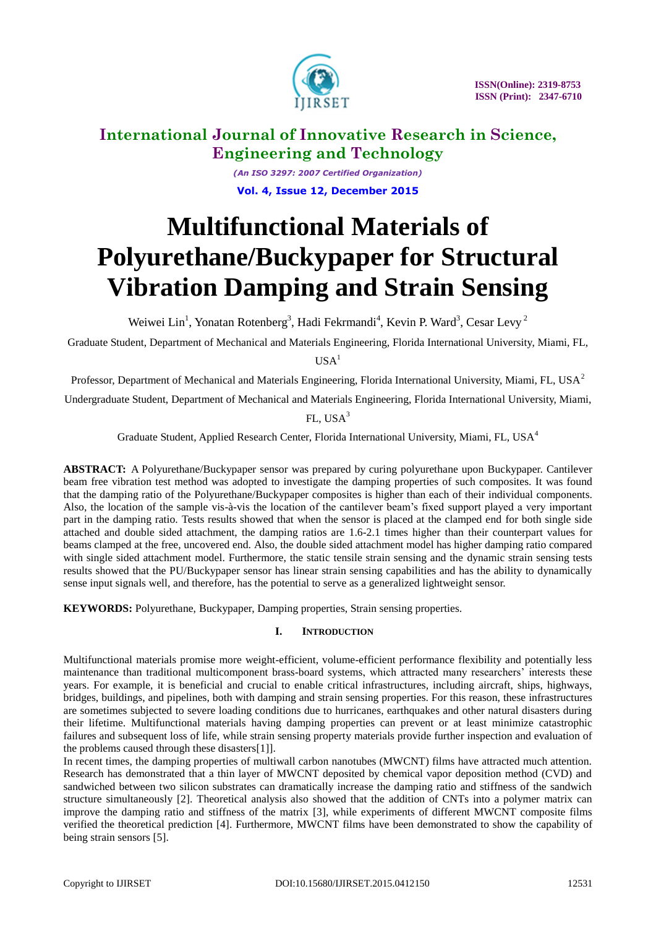

*(An ISO 3297: 2007 Certified Organization)* **Vol. 4, Issue 12, December 2015**

# **Multifunctional Materials of Polyurethane/Buckypaper for Structural Vibration Damping and Strain Sensing**

Weiwei Lin<sup>1</sup>, Yonatan Rotenberg<sup>3</sup>, Hadi Fekrmandi<sup>4</sup>, Kevin P. Ward<sup>3</sup>, Cesar Levy<sup>2</sup>

Graduate Student, Department of Mechanical and Materials Engineering, Florida International University, Miami, FL,  $IISA<sup>1</sup>$ 

Professor, Department of Mechanical and Materials Engineering, Florida International University, Miami, FL, USA<sup>2</sup>

Undergraduate Student, Department of Mechanical and Materials Engineering, Florida International University, Miami,

 $FL$ , USA<sup>3</sup>

Graduate Student, Applied Research Center, Florida International University, Miami, FL, USA<sup>4</sup>

**ABSTRACT:** A Polyurethane/Buckypaper sensor was prepared by curing polyurethane upon Buckypaper. Cantilever beam free vibration test method was adopted to investigate the damping properties of such composites. It was found that the damping ratio of the Polyurethane/Buckypaper composites is higher than each of their individual components. Also, the location of the sample vis-à-vis the location of the cantilever beam's fixed support played a very important part in the damping ratio. Tests results showed that when the sensor is placed at the clamped end for both single side attached and double sided attachment, the damping ratios are 1.6-2.1 times higher than their counterpart values for beams clamped at the free, uncovered end. Also, the double sided attachment model has higher damping ratio compared with single sided attachment model. Furthermore, the static tensile strain sensing and the dynamic strain sensing tests results showed that the PU/Buckypaper sensor has linear strain sensing capabilities and has the ability to dynamically sense input signals well, and therefore, has the potential to serve as a generalized lightweight sensor.

**KEYWORDS:** Polyurethane, Buckypaper, Damping properties, Strain sensing properties.

# **I. INTRODUCTION**

Multifunctional materials promise more weight-efficient, volume-efficient performance flexibility and potentially less maintenance than traditional multicomponent brass-board systems, which attracted many researchers' interests these years. For example, it is beneficial and crucial to enable critical infrastructures, including aircraft, ships, highways, bridges, buildings, and pipelines, both with damping and strain sensing properties. For this reason, these infrastructures are sometimes subjected to severe loading conditions due to hurricanes, earthquakes and other natural disasters during their lifetime. Multifunctional materials having damping properties can prevent or at least minimize catastrophic failures and subsequent loss of life, while strain sensing property materials provide further inspection and evaluation of the problems caused through these disasters[1]].

In recent times, the damping properties of multiwall carbon nanotubes (MWCNT) films have attracted much attention. Research has demonstrated that a thin layer of MWCNT deposited by chemical vapor deposition method (CVD) and sandwiched between two silicon substrates can dramatically increase the damping ratio and stiffness of the sandwich structure simultaneously [2]. Theoretical analysis also showed that the addition of CNTs into a polymer matrix can improve the damping ratio and stiffness of the matrix [3], while experiments of different MWCNT composite films verified the theoretical prediction [4]. Furthermore, MWCNT films have been demonstrated to show the capability of being strain sensors [5].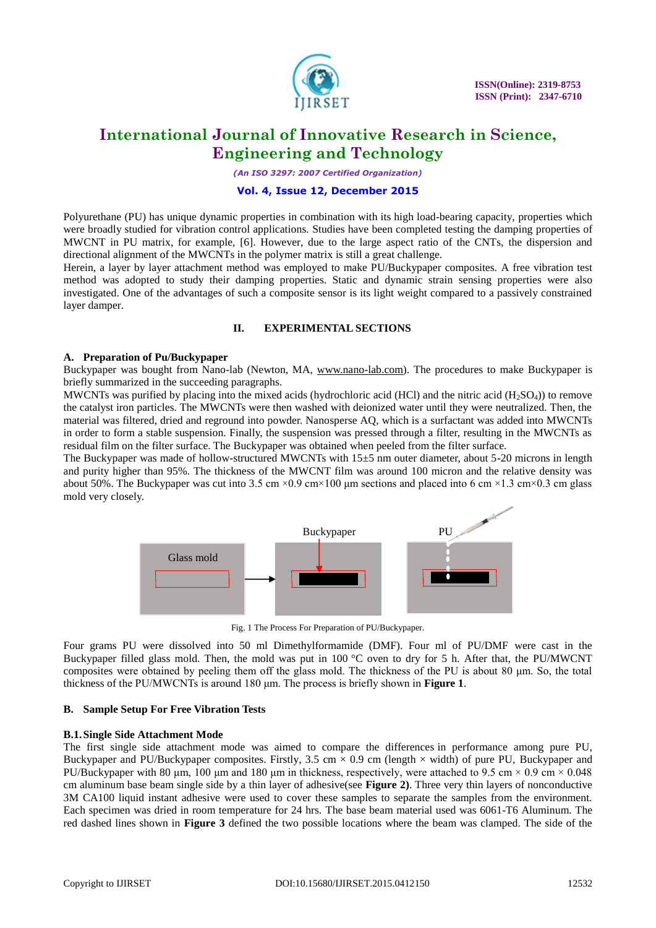

*(An ISO 3297: 2007 Certified Organization)*

#### **Vol. 4, Issue 12, December 2015**

Polyurethane (PU) has unique dynamic properties in combination with its high load-bearing capacity, properties which were broadly studied for vibration control applications. Studies have been completed testing the damping properties of MWCNT in PU matrix, for example, [6]. However, due to the large aspect ratio of the CNTs, the dispersion and directional alignment of the MWCNTs in the polymer matrix is still a great challenge.

Herein, a layer by layer attachment method was employed to make PU/Buckypaper composites. A free vibration test method was adopted to study their damping properties. Static and dynamic strain sensing properties were also investigated. One of the advantages of such a composite sensor is its light weight compared to a passively constrained layer damper.

# **II. EXPERIMENTAL SECTIONS**

# **A. Preparation of Pu/Buckypaper**

Buckypaper was bought from Nano-lab (Newton, MA, [www.nano-lab.com\)](http://www.nano-lab.com/). The procedures to make Buckypaper is briefly summarized in the succeeding paragraphs.

MWCNTs was purified by placing into the mixed acids (hydrochloric acid (HCl) and the nitric acid (H<sub>2</sub>SO<sub>4</sub>)) to remove the catalyst iron particles. The MWCNTs were then washed with deionized water until they were neutralized. Then, the material was filtered, dried and reground into powder. Nanosperse AQ, which is a surfactant was added into MWCNTs in order to form a stable suspension. Finally, the suspension was pressed through a filter, resulting in the MWCNTs as residual film on the filter surface. The Buckypaper was obtained when peeled from the filter surface.

The Buckypaper was made of hollow-structured MWCNTs with  $15\pm5$  nm outer diameter, about 5-20 microns in length and purity higher than 95%. The thickness of the MWCNT film was around 100 micron and the relative density was about 50%. The Buckypaper was cut into 3.5 cm  $\times$ 0.9 cm $\times$ 100 µm sections and placed into 6 cm  $\times$ 1.3 cm $\times$ 0.3 cm glass mold very closely.



Fig. 1 The Process For Preparation of PU/Buckypaper.

Four grams PU were dissolved into 50 ml Dimethylformamide (DMF). Four ml of PU/DMF were cast in the Buckypaper filled glass mold. Then, the mold was put in 100 °C oven to dry for 5 h. After that, the PU/MWCNT composites were obtained by peeling them off the glass mold. The thickness of the PU is about 80 μm. So, the total thickness of the PU/MWCNTs is around 180 μm. The process is briefly shown in **Figure 1**.

# **B. Sample Setup For Free Vibration Tests**

#### **B.1.Single Side Attachment Mode**

The first single side attachment mode was aimed to compare the differences in performance among pure PU, Buckypaper and PU/Buckypaper composites. Firstly, 3.5 cm  $\times$  0.9 cm (length  $\times$  width) of pure PU, Buckypaper and PU/Buckypaper with 80  $\mu$ m, 100  $\mu$ m and 180  $\mu$ m in thickness, respectively, were attached to 9.5 cm × 0.9 cm × 0.048 cm aluminum base beam single side by a thin layer of adhesive(see **Figure 2)**. Three very thin layers of nonconductive 3M CA100 liquid instant adhesive were used to cover these samples to separate the samples from the environment. Each specimen was dried in room temperature for 24 hrs. The base beam material used was 6061-T6 Aluminum. The red dashed lines shown in **Figure 3** defined the two possible locations where the beam was clamped. The side of the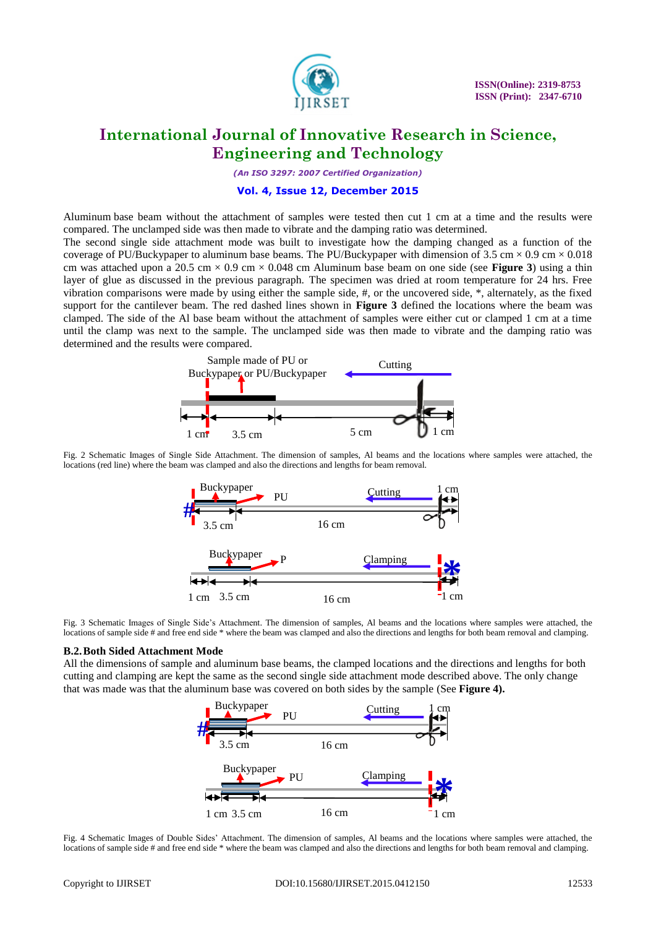

*(An ISO 3297: 2007 Certified Organization)*

#### **Vol. 4, Issue 12, December 2015**

Aluminum base beam without the attachment of samples were tested then cut 1 cm at a time and the results were compared. The unclamped side was then made to vibrate and the damping ratio was determined.

The second single side attachment mode was built to investigate how the damping changed as a function of the coverage of PU/Buckypaper to aluminum base beams. The PU/Buckypaper with dimension of 3.5 cm  $\times$  0.9 cm  $\times$  0.018 cm was attached upon a 20.5 cm  $\times$  0.9 cm  $\times$  0.048 cm Aluminum base beam on one side (see **Figure 3**) using a thin layer of glue as discussed in the previous paragraph. The specimen was dried at room temperature for 24 hrs. Free vibration comparisons were made by using either the sample side, #, or the uncovered side, \*, alternately, as the fixed support for the cantilever beam. The red dashed lines shown in **Figure 3** defined the locations where the beam was clamped. The side of the Al base beam without the attachment of samples were either cut or clamped 1 cm at a time until the clamp was next to the sample. The unclamped side was then made to vibrate and the damping ratio was determined and the results were compared.



Fig. 2 Schematic Images of Single Side Attachment. The dimension of samples, Al beams and the locations where samples were attached, the locations (red line) where the beam was clamped and also the directions and lengths for beam removal.



Fig. 3 Schematic Images of Single Side's Attachment. The dimension of samples, Al beams and the locations where samples were attached, the locations of sample side # and free end side \* where the beam was clamped and also the directions and lengths for both beam removal and clamping.

### **B.2.Both Sided Attachment Mode**

All the dimensions of sample and aluminum base beams, the clamped locations and the directions and lengths for both cutting and clamping are kept the same as the second single side attachment mode described above. The only change that was made was that the aluminum base was covered on both sides by the sample (See **Figure 4).**



Fig. 4 Schematic Images of Double Sides' Attachment. The dimension of samples, Al beams and the locations where samples were attached, the locations of sample side # and free end side \* where the beam was clamped and also the directions and lengths for both beam removal and clamping.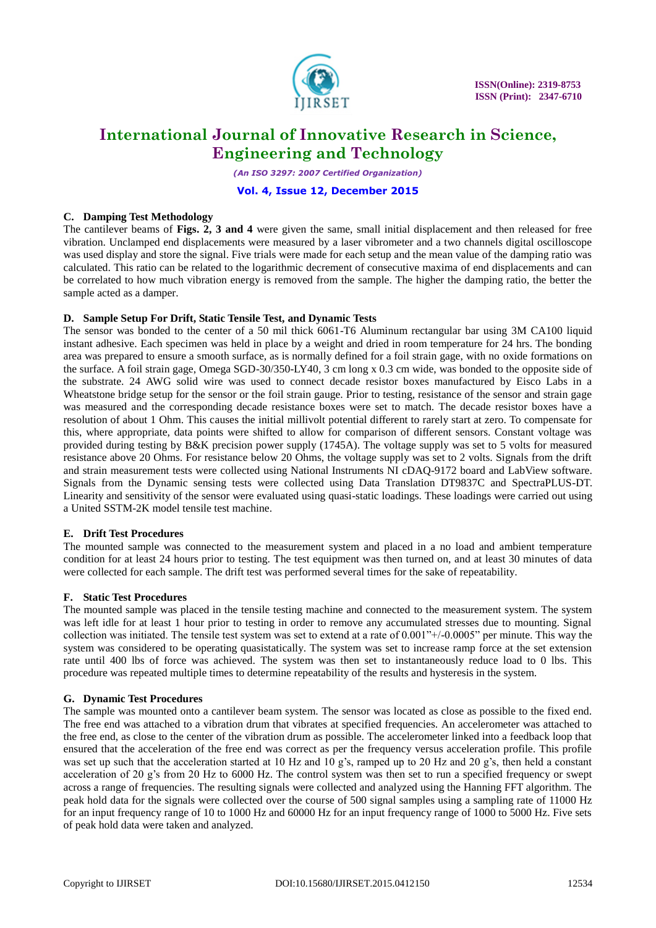

*(An ISO 3297: 2007 Certified Organization)*

### **Vol. 4, Issue 12, December 2015**

# **C. Damping Test Methodology**

The cantilever beams of **Figs. 2, 3 and 4** were given the same, small initial displacement and then released for free vibration. Unclamped end displacements were measured by a laser vibrometer and a two channels digital oscilloscope was used display and store the signal. Five trials were made for each setup and the mean value of the damping ratio was calculated. This ratio can be related to the logarithmic decrement of consecutive maxima of end displacements and can be correlated to how much vibration energy is removed from the sample. The higher the damping ratio, the better the sample acted as a damper.

# **D. Sample Setup For Drift, Static Tensile Test, and Dynamic Tests**

The sensor was bonded to the center of a 50 mil thick 6061-T6 Aluminum rectangular bar using 3M CA100 liquid instant adhesive. Each specimen was held in place by a weight and dried in room temperature for 24 hrs. The bonding area was prepared to ensure a smooth surface, as is normally defined for a foil strain gage, with no oxide formations on the surface. A foil strain gage, Omega SGD-30/350-LY40, 3 cm long x 0.3 cm wide, was bonded to the opposite side of the substrate. 24 AWG solid wire was used to connect decade resistor boxes manufactured by Eisco Labs in a Wheatstone bridge setup for the sensor or the foil strain gauge. Prior to testing, resistance of the sensor and strain gage was measured and the corresponding decade resistance boxes were set to match. The decade resistor boxes have a resolution of about 1 Ohm. This causes the initial millivolt potential different to rarely start at zero. To compensate for this, where appropriate, data points were shifted to allow for comparison of different sensors. Constant voltage was provided during testing by B&K precision power supply (1745A). The voltage supply was set to 5 volts for measured resistance above 20 Ohms. For resistance below 20 Ohms, the voltage supply was set to 2 volts. Signals from the drift and strain measurement tests were collected using National Instruments NI cDAQ-9172 board and LabView software. Signals from the Dynamic sensing tests were collected using Data Translation DT9837C and SpectraPLUS-DT. Linearity and sensitivity of the sensor were evaluated using quasi-static loadings. These loadings were carried out using a United SSTM-2K model tensile test machine.

# **E. Drift Test Procedures**

The mounted sample was connected to the measurement system and placed in a no load and ambient temperature condition for at least 24 hours prior to testing. The test equipment was then turned on, and at least 30 minutes of data were collected for each sample. The drift test was performed several times for the sake of repeatability.

# **F. Static Test Procedures**

The mounted sample was placed in the tensile testing machine and connected to the measurement system. The system was left idle for at least 1 hour prior to testing in order to remove any accumulated stresses due to mounting. Signal collection was initiated. The tensile test system was set to extend at a rate of  $0.001$ "+/-0.0005" per minute. This way the system was considered to be operating quasistatically. The system was set to increase ramp force at the set extension rate until 400 lbs of force was achieved. The system was then set to instantaneously reduce load to 0 lbs. This procedure was repeated multiple times to determine repeatability of the results and hysteresis in the system.

# **G. Dynamic Test Procedures**

The sample was mounted onto a cantilever beam system. The sensor was located as close as possible to the fixed end. The free end was attached to a vibration drum that vibrates at specified frequencies. An accelerometer was attached to the free end, as close to the center of the vibration drum as possible. The accelerometer linked into a feedback loop that ensured that the acceleration of the free end was correct as per the frequency versus acceleration profile. This profile was set up such that the acceleration started at 10 Hz and 10 g's, ramped up to 20 Hz and 20 g's, then held a constant acceleration of 20 g's from 20 Hz to 6000 Hz. The control system was then set to run a specified frequency or swept across a range of frequencies. The resulting signals were collected and analyzed using the Hanning FFT algorithm. The peak hold data for the signals were collected over the course of 500 signal samples using a sampling rate of 11000 Hz for an input frequency range of 10 to 1000 Hz and 60000 Hz for an input frequency range of 1000 to 5000 Hz. Five sets of peak hold data were taken and analyzed.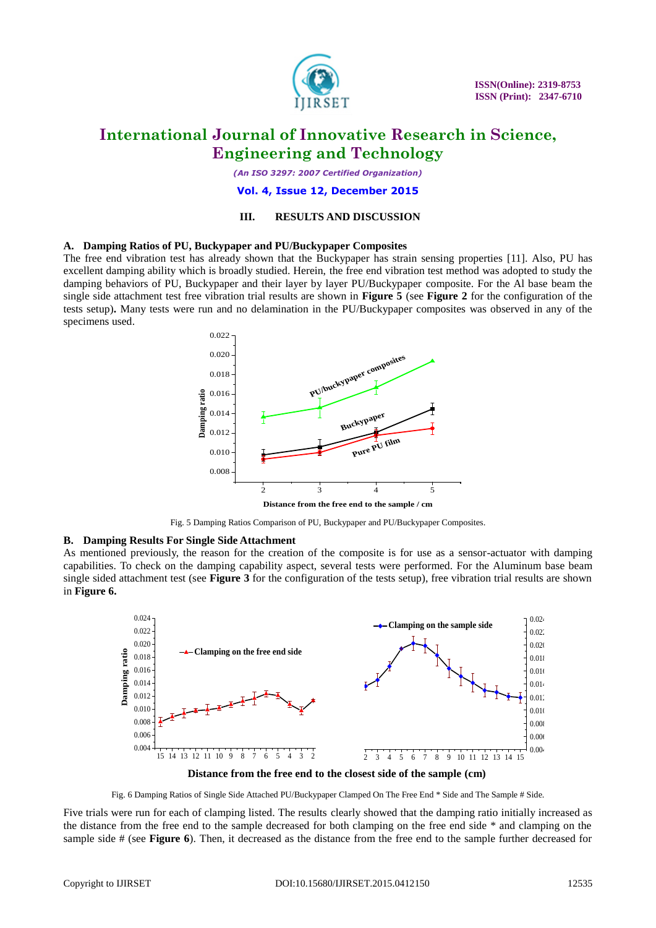

*(An ISO 3297: 2007 Certified Organization)*

#### **Vol. 4, Issue 12, December 2015**

### **III. RESULTS AND DISCUSSION**

### **A. Damping Ratios of PU, Buckypaper and PU/Buckypaper Composites**

The free end vibration test has already shown that the Buckypaper has strain sensing properties [11]. Also, PU has excellent damping ability which is broadly studied. Herein, the free end vibration test method was adopted to study the damping behaviors of PU, Buckypaper and their layer by layer PU/Buckypaper composite. For the Al base beam the single side attachment test free vibration trial results are shown in **Figure 5** (see **Figure 2** for the configuration of the tests setup)**.** Many tests were run and no delamination in the PU/Buckypaper composites was observed in any of the specimens used.



Fig. 5 Damping Ratios Comparison of PU, Buckypaper and PU/Buckypaper Composites.

#### **B. Damping Results For Single Side Attachment**

As mentioned previously, the reason for the creation of the composite is for use as a sensor-actuator with damping capabilities. To check on the damping capability aspect, several tests were performed. For the Aluminum base beam single sided attachment test (see **Figure 3** for the configuration of the tests setup), free vibration trial results are shown in **Figure 6.**



**Distance from the free end to the closest side of the sample (cm)**

Fig. 6 Damping Ratios of Single Side Attached PU/Buckypaper Clamped On The Free End \* Side and The Sample # Side.

Five trials were run for each of clamping listed. The results clearly showed that the damping ratio initially increased as the distance from the free end to the sample decreased for both clamping on the free end side \* and clamping on the sample side # (see **Figure 6**). Then, it decreased as the distance from the free end to the sample further decreased for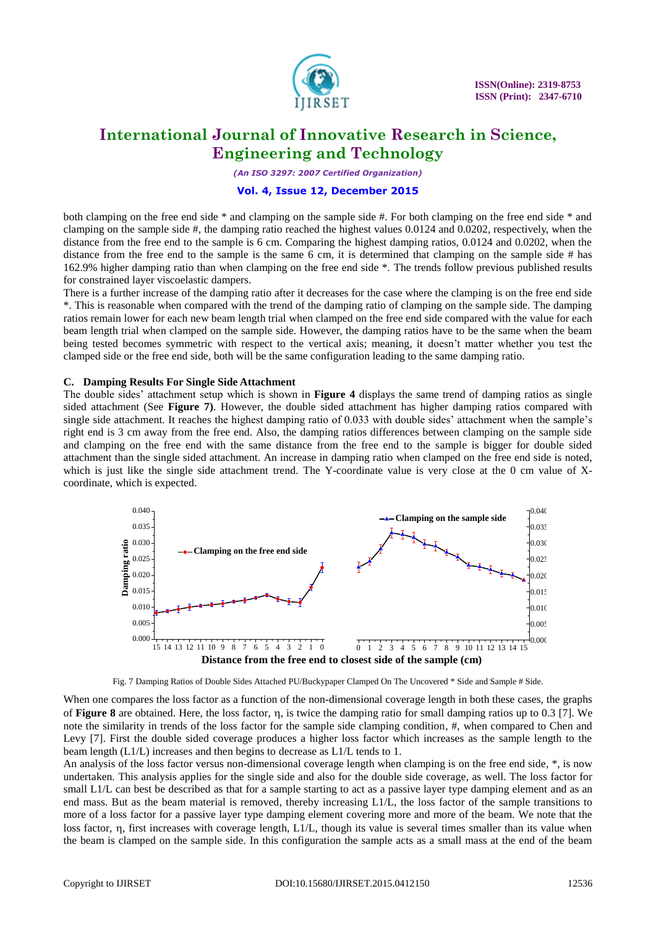

*(An ISO 3297: 2007 Certified Organization)*

#### **Vol. 4, Issue 12, December 2015**

both clamping on the free end side \* and clamping on the sample side #. For both clamping on the free end side \* and clamping on the sample side #, the damping ratio reached the highest values 0.0124 and 0.0202, respectively, when the distance from the free end to the sample is 6 cm. Comparing the highest damping ratios, 0.0124 and 0.0202, when the distance from the free end to the sample is the same 6 cm, it is determined that clamping on the sample side # has 162.9% higher damping ratio than when clamping on the free end side \*. The trends follow previous published results for constrained layer viscoelastic dampers.

There is a further increase of the damping ratio after it decreases for the case where the clamping is on the free end side \*. This is reasonable when compared with the trend of the damping ratio of clamping on the sample side. The damping ratios remain lower for each new beam length trial when clamped on the free end side compared with the value for each beam length trial when clamped on the sample side. However, the damping ratios have to be the same when the beam being tested becomes symmetric with respect to the vertical axis; meaning, it doesn't matter whether you test the clamped side or the free end side, both will be the same configuration leading to the same damping ratio.

#### **C. Damping Results For Single Side Attachment**

The double sides' attachment setup which is shown in **Figure 4** displays the same trend of damping ratios as single sided attachment (See **Figure 7)**. However, the double sided attachment has higher damping ratios compared with single side attachment. It reaches the highest damping ratio of 0.033 with double sides' attachment when the sample's right end is 3 cm away from the free end. Also, the damping ratios differences between clamping on the sample side and clamping on the free end with the same distance from the free end to the sample is bigger for double sided attachment than the single sided attachment. An increase in damping ratio when clamped on the free end side is noted, which is just like the single side attachment trend. The Y-coordinate value is very close at the 0 cm value of Xcoordinate, which is expected.





When one compares the loss factor as a function of the non-dimensional coverage length in both these cases, the graphs of **Figure 8** are obtained. Here, the loss factor,  $\eta$ , is twice the damping ratio for small damping ratios up to 0.3 [7]. We note the similarity in trends of the loss factor for the sample side clamping condition, #, when compared to Chen and Levy [7]. First the double sided coverage produces a higher loss factor which increases as the sample length to the beam length (L1/L) increases and then begins to decrease as L1/L tends to 1.

An analysis of the loss factor versus non-dimensional coverage length when clamping is on the free end side, \*, is now undertaken. This analysis applies for the single side and also for the double side coverage, as well. The loss factor for small L1/L can best be described as that for a sample starting to act as a passive layer type damping element and as an end mass. But as the beam material is removed, thereby increasing L1/L, the loss factor of the sample transitions to more of a loss factor for a passive layer type damping element covering more and more of the beam. We note that the loss factor,  $\eta$ , first increases with coverage length, L1/L, though its value is several times smaller than its value when the beam is clamped on the sample side. In this configuration the sample acts as a small mass at the end of the beam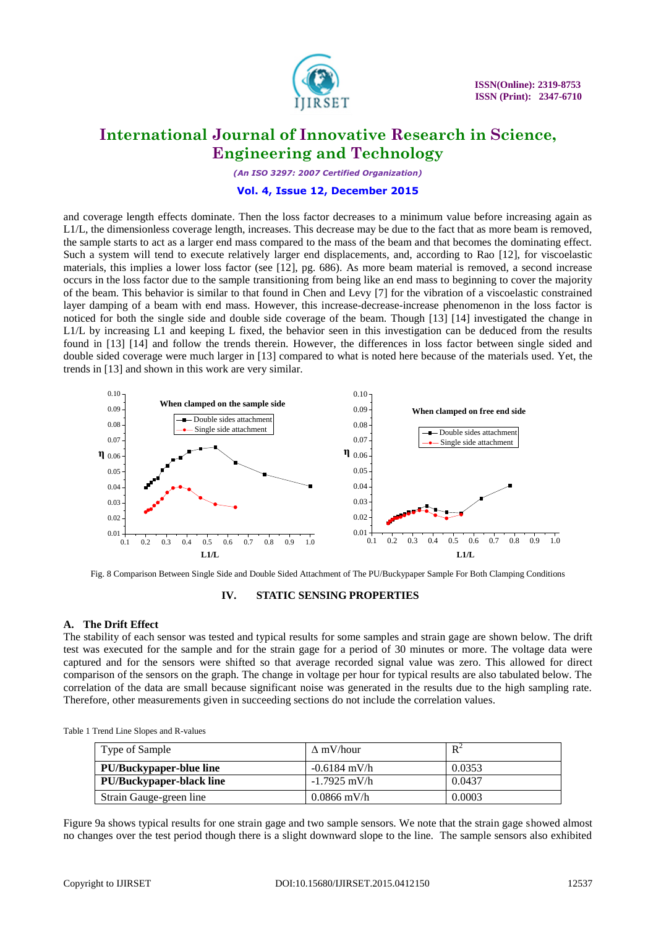

*(An ISO 3297: 2007 Certified Organization)*

#### **Vol. 4, Issue 12, December 2015**

and coverage length effects dominate. Then the loss factor decreases to a minimum value before increasing again as L1/L, the dimensionless coverage length, increases. This decrease may be due to the fact that as more beam is removed, the sample starts to act as a larger end mass compared to the mass of the beam and that becomes the dominating effect. Such a system will tend to execute relatively larger end displacements, and, according to Rao [12], for viscoelastic materials, this implies a lower loss factor (see [12], pg. 686). As more beam material is removed, a second increase occurs in the loss factor due to the sample transitioning from being like an end mass to beginning to cover the majority of the beam. This behavior is similar to that found in Chen and Levy [7] for the vibration of a viscoelastic constrained layer damping of a beam with end mass. However, this increase-decrease-increase phenomenon in the loss factor is noticed for both the single side and double side coverage of the beam. Though [13] [14] investigated the change in L1/L by increasing L1 and keeping L fixed, the behavior seen in this investigation can be deduced from the results found in [13] [14] and follow the trends therein. However, the differences in loss factor between single sided and double sided coverage were much larger in [13] compared to what is noted here because of the materials used. Yet, the trends in [13] and shown in this work are very similar.



Fig. 8 Comparison Between Single Side and Double Sided Attachment of The PU/Buckypaper Sample For Both Clamping Conditions

**IV. STATIC SENSING PROPERTIES**

# **A. The Drift Effect**

The stability of each sensor was tested and typical results for some samples and strain gage are shown below. The drift test was executed for the sample and for the strain gage for a period of 30 minutes or more. The voltage data were captured and for the sensors were shifted so that average recorded signal value was zero. This allowed for direct comparison of the sensors on the graph. The change in voltage per hour for typical results are also tabulated below. The correlation of the data are small because significant noise was generated in the results due to the high sampling rate. Therefore, other measurements given in succeeding sections do not include the correlation values.

| Type of Sample                 | $\Delta$ mV/hour | $R^2$  |
|--------------------------------|------------------|--------|
| <b>PU/Buckypaper-blue line</b> | $-0.6184$ mV/h   | 0.0353 |
| PU/Buckypaper-black line       | $-1.7925$ mV/h   | 0.0437 |
| Strain Gauge-green line        | $0.0866$ mV/h    | 0.0003 |

Figure 9a shows typical results for one strain gage and two sample sensors. We note that the strain gage showed almost no changes over the test period though there is a slight downward slope to the line. The sample sensors also exhibited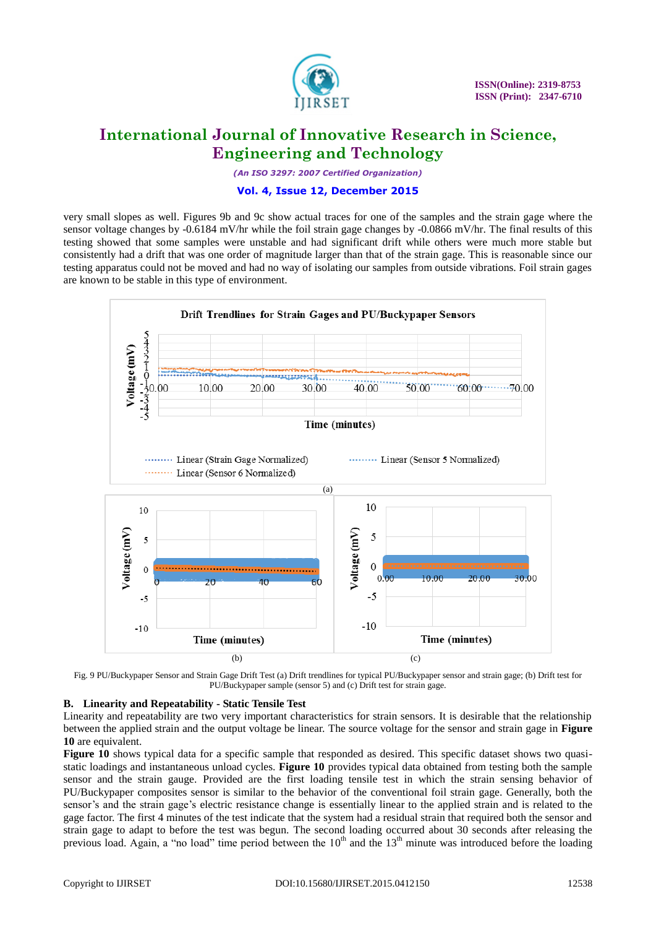

*(An ISO 3297: 2007 Certified Organization)*

#### **Vol. 4, Issue 12, December 2015**

very small slopes as well. Figures 9b and 9c show actual traces for one of the samples and the strain gage where the sensor voltage changes by -0.6184 mV/hr while the foil strain gage changes by -0.0866 mV/hr. The final results of this testing showed that some samples were unstable and had significant drift while others were much more stable but consistently had a drift that was one order of magnitude larger than that of the strain gage. This is reasonable since our testing apparatus could not be moved and had no way of isolating our samples from outside vibrations. Foil strain gages are known to be stable in this type of environment.



Fig. 9 PU/Buckypaper Sensor and Strain Gage Drift Test (a) Drift trendlines for typical PU/Buckypaper sensor and strain gage; (b) Drift test for PU/Buckypaper sample (sensor 5) and (c) Drift test for strain gage.

# **B. Linearity and Repeatability - Static Tensile Test**

Linearity and repeatability are two very important characteristics for strain sensors. It is desirable that the relationship between the applied strain and the output voltage be linear. The source voltage for the sensor and strain gage in **Figure 10** are equivalent.

**Figure 10** shows typical data for a specific sample that responded as desired. This specific dataset shows two quasistatic loadings and instantaneous unload cycles. **Figure 10** provides typical data obtained from testing both the sample sensor and the strain gauge. Provided are the first loading tensile test in which the strain sensing behavior of PU/Buckypaper composites sensor is similar to the behavior of the conventional foil strain gage. Generally, both the sensor's and the strain gage's electric resistance change is essentially linear to the applied strain and is related to the gage factor. The first 4 minutes of the test indicate that the system had a residual strain that required both the sensor and strain gage to adapt to before the test was begun. The second loading occurred about 30 seconds after releasing the previous load. Again, a "no load" time period between the  $10<sup>th</sup>$  and the  $13<sup>th</sup>$  minute was introduced before the loading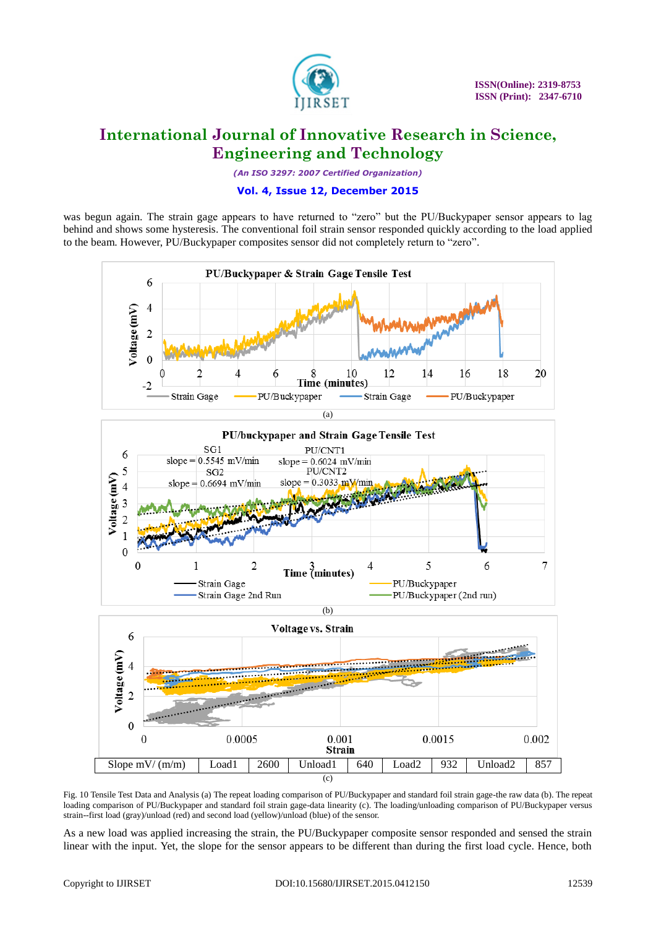

*(An ISO 3297: 2007 Certified Organization)*

# **Vol. 4, Issue 12, December 2015**

was begun again. The strain gage appears to have returned to "zero" but the PU/Buckypaper sensor appears to lag behind and shows some hysteresis. The conventional foil strain sensor responded quickly according to the load applied to the beam. However, PU/Buckypaper composites sensor did not completely return to "zero".



Fig. 10 Tensile Test Data and Analysis (a) The repeat loading comparison of PU/Buckypaper and standard foil strain gage-the raw data (b). The repeat loading comparison of PU/Buckypaper and standard foil strain gage-data linearity (c). The loading/unloading comparison of PU/Buckypaper versus strain--first load (gray)/unload (red) and second load (yellow)/unload (blue) of the sensor.

As a new load was applied increasing the strain, the PU/Buckypaper composite sensor responded and sensed the strain linear with the input. Yet, the slope for the sensor appears to be different than during the first load cycle. Hence, both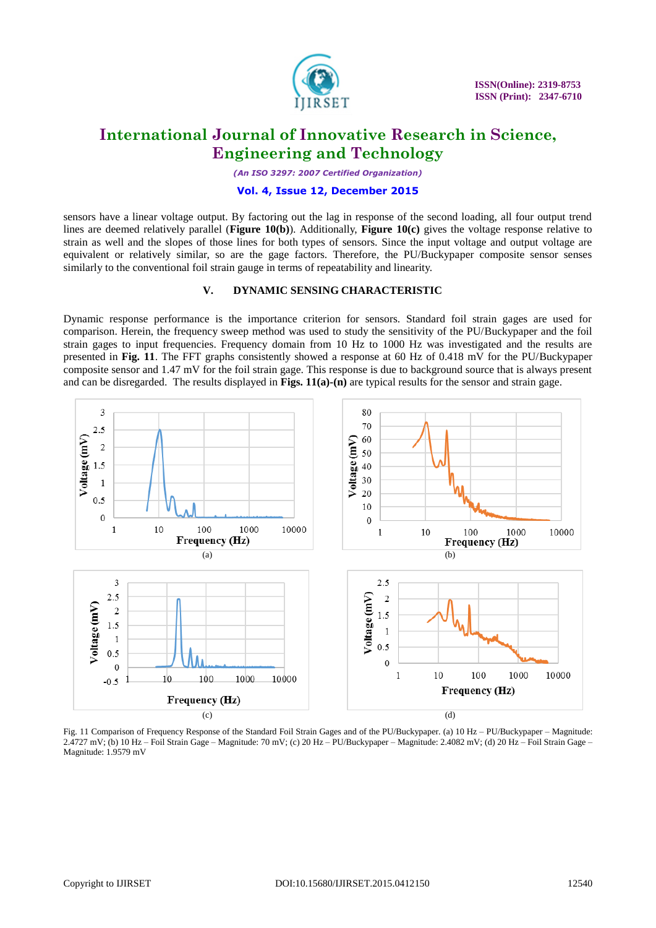

*(An ISO 3297: 2007 Certified Organization)*

# **Vol. 4, Issue 12, December 2015**

sensors have a linear voltage output. By factoring out the lag in response of the second loading, all four output trend lines are deemed relatively parallel (**Figure 10(b)**). Additionally, **Figure 10(c)** gives the voltage response relative to strain as well and the slopes of those lines for both types of sensors. Since the input voltage and output voltage are equivalent or relatively similar, so are the gage factors. Therefore, the PU/Buckypaper composite sensor senses similarly to the conventional foil strain gauge in terms of repeatability and linearity.

# **V. DYNAMIC SENSING CHARACTERISTIC**

Dynamic response performance is the importance criterion for sensors. Standard foil strain gages are used for comparison. Herein, the frequency sweep method was used to study the sensitivity of the PU/Buckypaper and the foil strain gages to input frequencies. Frequency domain from 10 Hz to 1000 Hz was investigated and the results are presented in **Fig. 11**. The FFT graphs consistently showed a response at 60 Hz of 0.418 mV for the PU/Buckypaper composite sensor and 1.47 mV for the foil strain gage. This response is due to background source that is always present and can be disregarded. The results displayed in **Figs. 11(a)-(n)** are typical results for the sensor and strain gage.



Fig. 11 Comparison of Frequency Response of the Standard Foil Strain Gages and of the PU/Buckypaper. (a) 10 Hz – PU/Buckypaper – Magnitude: 2.4727 mV; (b) 10 Hz – Foil Strain Gage – Magnitude: 70 mV; (c) 20 Hz – PU/Buckypaper – Magnitude: 2.4082 mV; (d) 20 Hz – Foil Strain Gage – Magnitude: 1.9579 mV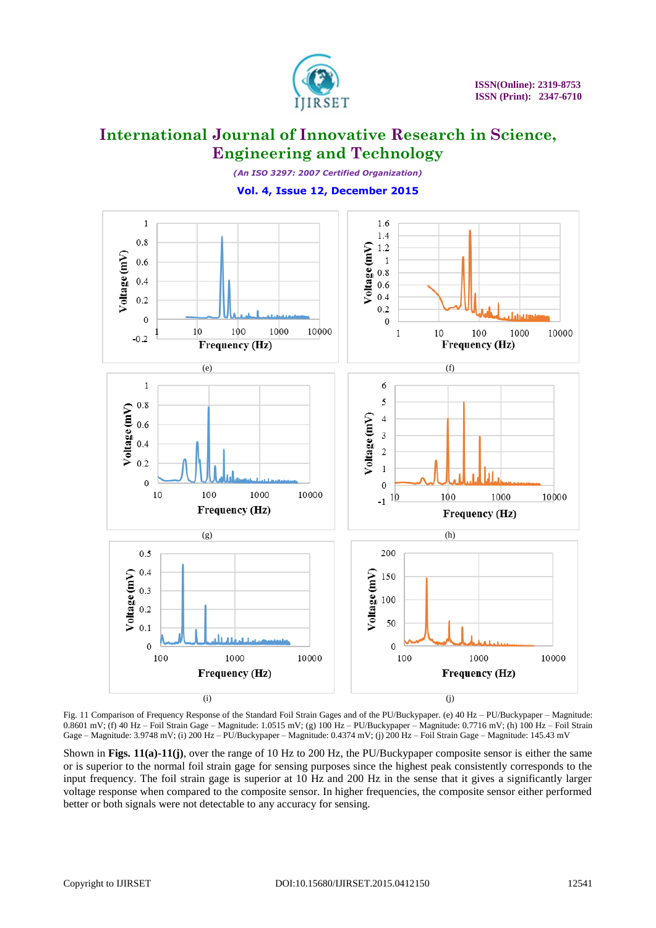

*(An ISO 3297: 2007 Certified Organization)* **Vol. 4, Issue 12, December 2015**



Fig. 11 Comparison of Frequency Response of the Standard Foil Strain Gages and of the PU/Buckypaper. (e) 40 Hz – PU/Buckypaper – Magnitude: 0.8601 mV; (f) 40 Hz – Foil Strain Gage – Magnitude: 1.0515 mV; (g) 100 Hz – PU/Buckypaper – Magnitude: 0.7716 mV; (h) 100 Hz – Foil Strain Gage – Magnitude: 3.9748 mV; (i) 200 Hz – PU/Buckypaper – Magnitude: 0.4374 mV; (j) 200 Hz – Foil Strain Gage – Magnitude: 145.43 mV

Shown in **Figs. 11(a)-11(j)**, over the range of 10 Hz to 200 Hz, the PU/Buckypaper composite sensor is either the same or is superior to the normal foil strain gage for sensing purposes since the highest peak consistently corresponds to the input frequency. The foil strain gage is superior at 10 Hz and 200 Hz in the sense that it gives a significantly larger voltage response when compared to the composite sensor. In higher frequencies, the composite sensor either performed better or both signals were not detectable to any accuracy for sensing.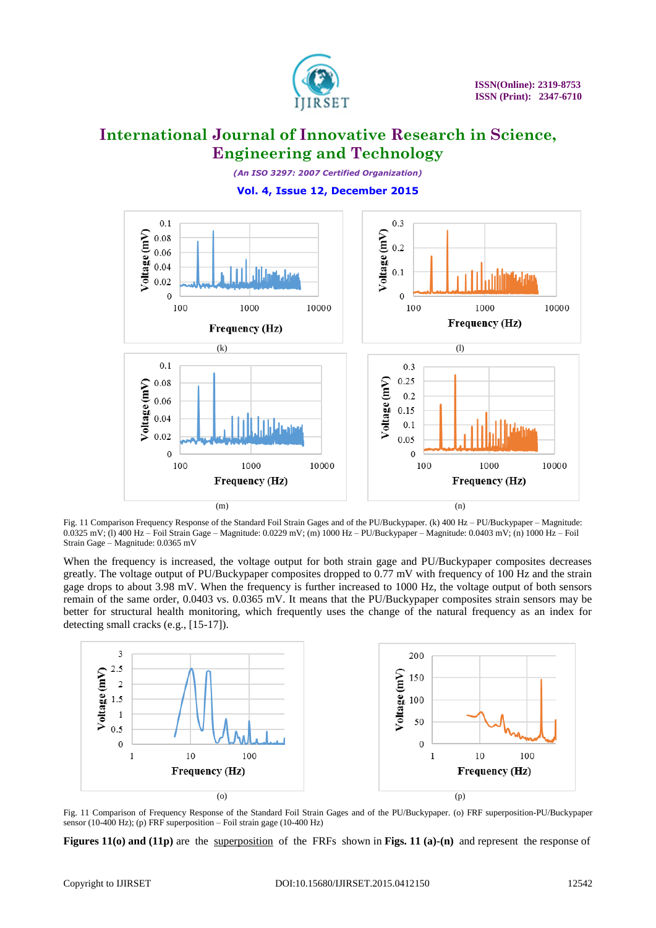

*(An ISO 3297: 2007 Certified Organization)*

**Vol. 4, Issue 12, December 2015**



Fig. 11 Comparison Frequency Response of the Standard Foil Strain Gages and of the PU/Buckypaper. (k) 400 Hz – PU/Buckypaper – Magnitude: 0.0325 mV; (l) 400 Hz – Foil Strain Gage – Magnitude: 0.0229 mV; (m) 1000 Hz – PU/Buckypaper – Magnitude: 0.0403 mV; (n) 1000 Hz – Foil Strain Gage – Magnitude: 0.0365 mV

When the frequency is increased, the voltage output for both strain gage and PU/Buckypaper composites decreases greatly. The voltage output of PU/Buckypaper composites dropped to 0.77 mV with frequency of 100 Hz and the strain gage drops to about 3.98 mV. When the frequency is further increased to 1000 Hz, the voltage output of both sensors remain of the same order, 0.0403 vs. 0.0365 mV. It means that the PU/Buckypaper composites strain sensors may be better for structural health monitoring, which frequently uses the change of the natural frequency as an index for detecting small cracks (e.g., [15-17]).



Fig. 11 Comparison of Frequency Response of the Standard Foil Strain Gages and of the PU/Buckypaper. (o) FRF superposition-PU/Buckypaper sensor (10-400 Hz); (p) FRF superposition – Foil strain gage (10-400 Hz)

**Figures 11(o) and (11p)** are the superposition of the FRFs shown in **Figs. 11 (a)-(n)** and represent the response of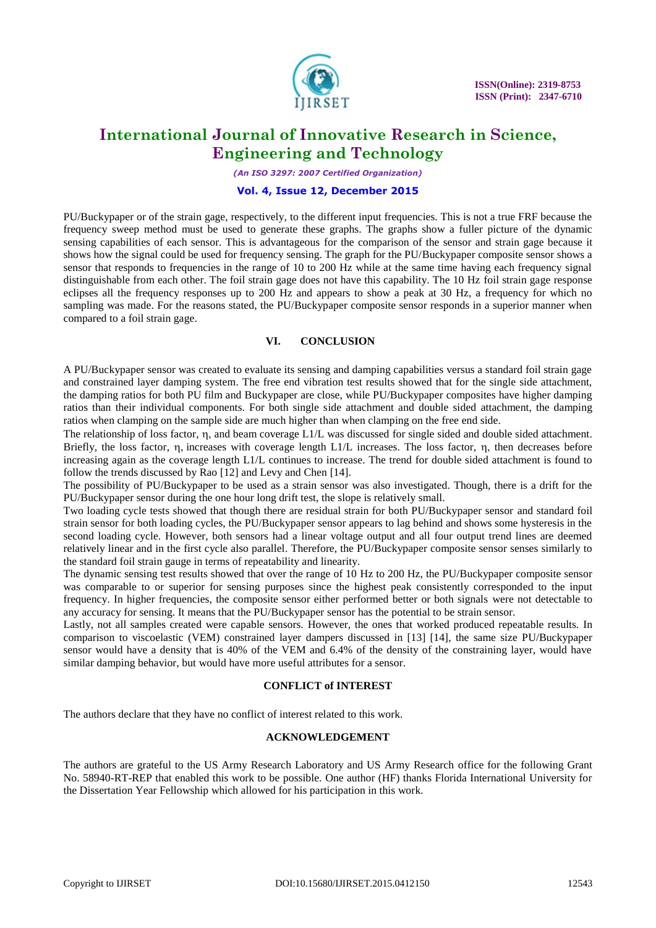

*(An ISO 3297: 2007 Certified Organization)*

#### **Vol. 4, Issue 12, December 2015**

PU/Buckypaper or of the strain gage, respectively, to the different input frequencies. This is not a true FRF because the frequency sweep method must be used to generate these graphs. The graphs show a fuller picture of the dynamic sensing capabilities of each sensor. This is advantageous for the comparison of the sensor and strain gage because it shows how the signal could be used for frequency sensing. The graph for the PU/Buckypaper composite sensor shows a sensor that responds to frequencies in the range of 10 to 200 Hz while at the same time having each frequency signal distinguishable from each other. The foil strain gage does not have this capability. The 10 Hz foil strain gage response eclipses all the frequency responses up to 200 Hz and appears to show a peak at 30 Hz, a frequency for which no sampling was made. For the reasons stated, the PU/Buckypaper composite sensor responds in a superior manner when compared to a foil strain gage.

# **VI. CONCLUSION**

A PU/Buckypaper sensor was created to evaluate its sensing and damping capabilities versus a standard foil strain gage and constrained layer damping system. The free end vibration test results showed that for the single side attachment, the damping ratios for both PU film and Buckypaper are close, while PU/Buckypaper composites have higher damping ratios than their individual components. For both single side attachment and double sided attachment, the damping ratios when clamping on the sample side are much higher than when clamping on the free end side.

The relationship of loss factor,  $\eta$ , and beam coverage L1/L was discussed for single sided and double sided attachment. Briefly, the loss factor,  $\eta$ , increases with coverage length L1/L increases. The loss factor,  $\eta$ , then decreases before increasing again as the coverage length L1/L continues to increase. The trend for double sided attachment is found to follow the trends discussed by Rao [12] and Levy and Chen [14].

The possibility of PU/Buckypaper to be used as a strain sensor was also investigated. Though, there is a drift for the PU/Buckypaper sensor during the one hour long drift test, the slope is relatively small.

Two loading cycle tests showed that though there are residual strain for both PU/Buckypaper sensor and standard foil strain sensor for both loading cycles, the PU/Buckypaper sensor appears to lag behind and shows some hysteresis in the second loading cycle. However, both sensors had a linear voltage output and all four output trend lines are deemed relatively linear and in the first cycle also parallel. Therefore, the PU/Buckypaper composite sensor senses similarly to the standard foil strain gauge in terms of repeatability and linearity.

The dynamic sensing test results showed that over the range of 10 Hz to 200 Hz, the PU/Buckypaper composite sensor was comparable to or superior for sensing purposes since the highest peak consistently corresponded to the input frequency. In higher frequencies, the composite sensor either performed better or both signals were not detectable to any accuracy for sensing. It means that the PU/Buckypaper sensor has the potential to be strain sensor.

Lastly, not all samples created were capable sensors. However, the ones that worked produced repeatable results. In comparison to viscoelastic (VEM) constrained layer dampers discussed in [13] [14], the same size PU/Buckypaper sensor would have a density that is 40% of the VEM and 6.4% of the density of the constraining layer, would have similar damping behavior, but would have more useful attributes for a sensor.

# **CONFLICT of INTEREST**

The authors declare that they have no conflict of interest related to this work.

# **ACKNOWLEDGEMENT**

The authors are grateful to the US Army Research Laboratory and US Army Research office for the following Grant No. 58940-RT-REP that enabled this work to be possible. One author (HF) thanks Florida International University for the Dissertation Year Fellowship which allowed for his participation in this work.